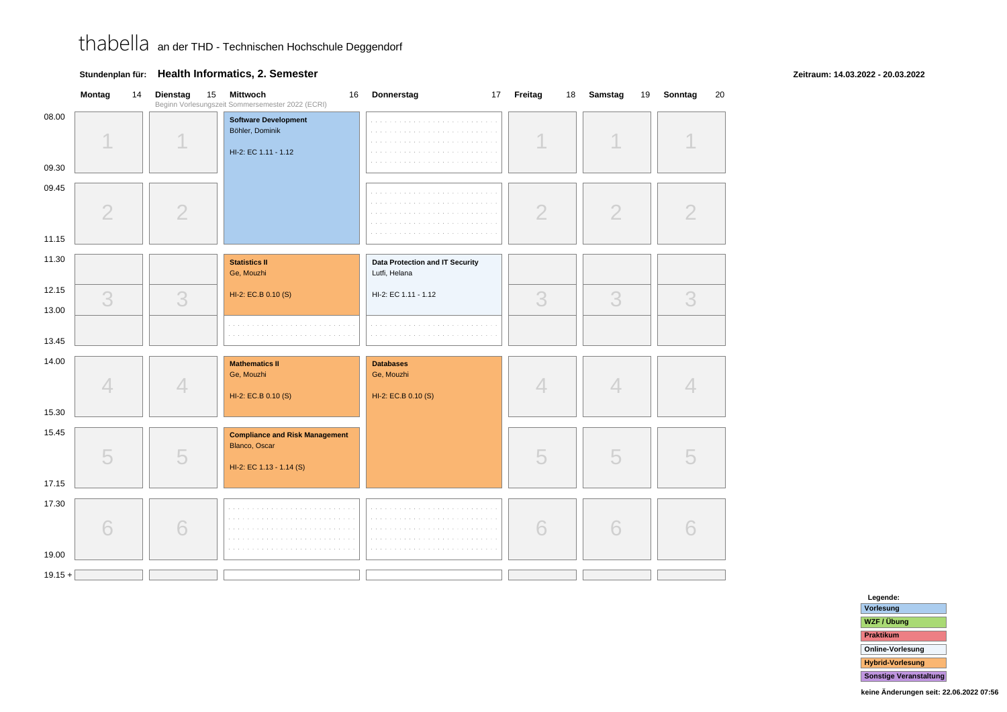#### **Montag** <sup>14</sup> **Dienstag** <sup>15</sup> **Mittwoch** <sup>16</sup> **Donnerstag** <sup>17</sup> **Freitag** <sup>18</sup> **Samstag** <sup>19</sup> **Sonntag** <sup>20</sup> Beginn Vorlesungszeit Sommersemester 2022 (ECRI)08.00**Software Development**Böhler, Dominikand a state HI-2: EC 1.11 - 1.1209.3009.45222 $\overline{\mathcal{L}}$ 211.1511.30**Statistics IIData Protection and IT Security** Ge, MouzhiLutfi, Helana12.15HI-2: EC 1.11 - 1.12HI-2: EC.B 0.10 (S)3333313.0013.4514.00**Mathematics IIDatabases**Ge, Mouzhi Ge, Mouzhi44444HI-2: EC.B 0.10 (S)HI-2: EC.B 0.10 (S)15.3015.45**Compliance and Risk Management**Blanco, Oscar55555HI-2: EC 1.13 - 1.14 (S)17.1517.306666619.00 $19.15 +$

### **Stundenplan für: Health Informatics, 2. Semester**

#### **Zeitraum: 14.03.2022 - 20.03.2022**

| Legende:                      |
|-------------------------------|
| Vorlesung                     |
| WZF / Übung                   |
| <b>Praktikum</b>              |
| <b>Online-Vorlesung</b>       |
| <b>Hybrid-Vorlesung</b>       |
| <b>Sonstige Veranstaltung</b> |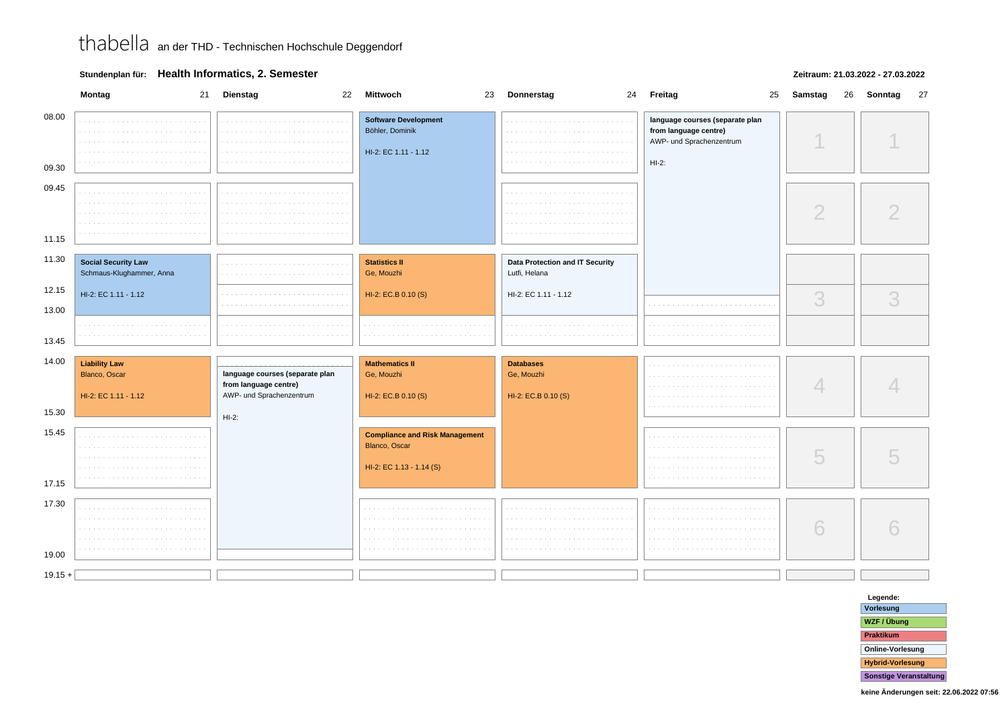### **Stundenplan für: Health Informatics, 2. Semester**

#### **Zeitraum: 21.03.2022 - 27.03.2022**

|                | Montag<br>21                                                                      | <b>Dienstag</b><br>22                                                                | <b>Mittwoch</b><br>23                                                              | Donnerstag                                            | 24 Freitag<br>25                                                                                 | Samstag<br>26 | Sonntag<br>27 |
|----------------|-----------------------------------------------------------------------------------|--------------------------------------------------------------------------------------|------------------------------------------------------------------------------------|-------------------------------------------------------|--------------------------------------------------------------------------------------------------|---------------|---------------|
| 08.00<br>09.30 | <b>College</b><br>$\mathcal{L}=\mathcal{L}=\mathcal{L}$<br>$\sim$ 100 $\sim$<br>. |                                                                                      | <b>Software Development</b><br>Böhler, Dominik<br>HI-2: EC 1.11 - 1.12             |                                                       | language courses (separate plan<br>from language centre)<br>AWP- und Sprachenzentrum<br>$HI-2$ : |               |               |
| 09.45          |                                                                                   |                                                                                      |                                                                                    |                                                       |                                                                                                  |               |               |
|                | $\cdots$<br>$\alpha$ , $\alpha$ , $\alpha$                                        |                                                                                      |                                                                                    |                                                       |                                                                                                  | $\bigcirc$    |               |
| 11.15          |                                                                                   |                                                                                      |                                                                                    |                                                       |                                                                                                  |               |               |
| 11.30          | <b>Social Security Law</b><br>Schmaus-Klughammer, Anna                            | <b>Service</b>                                                                       | <b>Statistics II</b><br>Ge, Mouzhi                                                 | Data Protection and IT Security<br>Lutfi, Helana      |                                                                                                  |               |               |
| 12.15          | HI-2: EC 1.11 - 1.12                                                              |                                                                                      | HI-2: EC.B 0.10 (S)                                                                | HI-2: EC 1.11 - 1.12                                  |                                                                                                  | 3             | 3             |
| 13.00          |                                                                                   |                                                                                      |                                                                                    |                                                       |                                                                                                  |               |               |
| 13.45          |                                                                                   |                                                                                      |                                                                                    |                                                       |                                                                                                  |               |               |
| 14.00          | <b>Liability Law</b><br>Blanco, Oscar<br>HI-2: EC 1.11 - 1.12                     | language courses (separate plan<br>from language centre)<br>AWP- und Sprachenzentrum | <b>Mathematics II</b><br>Ge, Mouzhi<br>HI-2: EC.B 0.10 (S)                         | <b>Databases</b><br>Ge, Mouzhi<br>HI-2: EC.B 0.10 (S) |                                                                                                  | 4             |               |
| 15.30          |                                                                                   | $HI-2:$                                                                              |                                                                                    |                                                       |                                                                                                  |               |               |
| 15.45<br>17.15 | .<br>.<br>$\sim$ 100 $\sim$                                                       |                                                                                      | <b>Compliance and Risk Management</b><br>Blanco, Oscar<br>HI-2: EC 1.13 - 1.14 (S) |                                                       |                                                                                                  | 5             |               |
| 17.30          |                                                                                   |                                                                                      |                                                                                    |                                                       |                                                                                                  |               |               |
| 19.00          | <b>Contract</b><br>and a<br>$\sim$ $\sim$<br>a contra                             |                                                                                      |                                                                                    | <b>College</b>                                        | <b>College</b>                                                                                   | 6             |               |
| $19.15 +$      |                                                                                   |                                                                                      |                                                                                    |                                                       |                                                                                                  |               |               |
|                |                                                                                   |                                                                                      |                                                                                    |                                                       |                                                                                                  |               |               |

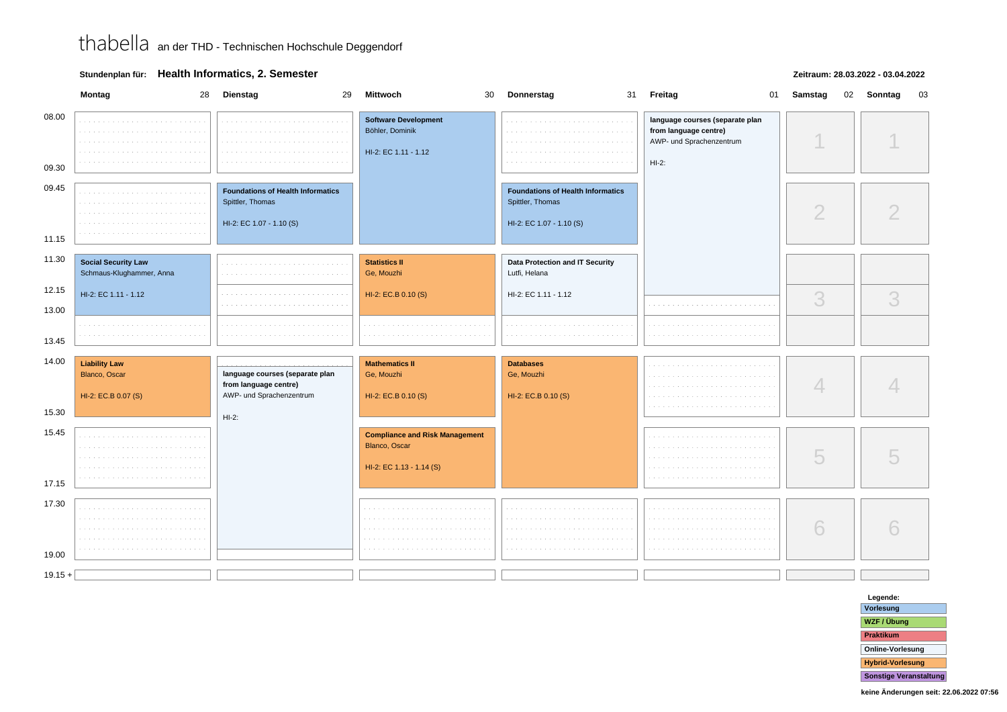### **Stundenplan für: Health Informatics, 2. Semester**

#### **Zeitraum: 28.03.2022 - 03.04.2022**

|                | Montag<br>28                                                 | <b>Dienstag</b><br>29                                                                    | Mittwoch                                                                           | 30 | Donnerstag                                                                               | 31 Freitag                                                                                      | 01 | Samstag    | 02 | Sonntag | 03 |
|----------------|--------------------------------------------------------------|------------------------------------------------------------------------------------------|------------------------------------------------------------------------------------|----|------------------------------------------------------------------------------------------|-------------------------------------------------------------------------------------------------|----|------------|----|---------|----|
| 08.00<br>09.30 | and a state of<br>$\alpha = 1, \ldots, n$                    | the company's company's                                                                  | <b>Software Development</b><br>Böhler, Dominik<br>HI-2: EC 1.11 - 1.12             |    |                                                                                          | language courses (separate plan<br>from language centre)<br>AWP- und Sprachenzentrum<br>$HI-2:$ |    |            |    |         |    |
| 09.45<br>11.15 |                                                              | <b>Foundations of Health Informatics</b><br>Spittler, Thomas<br>HI-2: EC 1.07 - 1.10 (S) |                                                                                    |    | <b>Foundations of Health Informatics</b><br>Spittler, Thomas<br>HI-2: EC 1.07 - 1.10 (S) |                                                                                                 |    | $\bigcirc$ |    |         |    |
| 11.30          | <b>Social Security Law</b><br>Schmaus-Klughammer, Anna       |                                                                                          | <b>Statistics II</b><br>Ge, Mouzhi                                                 |    | Data Protection and IT Security<br>Lutfi, Helana                                         |                                                                                                 |    |            |    |         |    |
| 12.15<br>13.00 | HI-2: EC 1.11 - 1.12                                         |                                                                                          | HI-2: EC.B 0.10 (S)                                                                |    | HI-2: EC 1.11 - 1.12                                                                     |                                                                                                 |    | 3          |    | 3       |    |
| 13.45          |                                                              |                                                                                          |                                                                                    |    |                                                                                          |                                                                                                 |    |            |    |         |    |
| 14.00          | <b>Liability Law</b><br>Blanco, Oscar<br>HI-2: EC.B 0.07 (S) | language courses (separate plan<br>from language centre)<br>AWP- und Sprachenzentrum     | <b>Mathematics II</b><br>Ge, Mouzhi<br>HI-2: EC.B 0.10 (S)                         |    | <b>Databases</b><br>Ge, Mouzhi<br>HI-2: EC.B 0.10 (S)                                    |                                                                                                 |    | 4          |    |         |    |
| 15.30          |                                                              | $HI-2:$                                                                                  |                                                                                    |    |                                                                                          |                                                                                                 |    |            |    |         |    |
| 15.45<br>17.15 |                                                              |                                                                                          | <b>Compliance and Risk Management</b><br>Blanco, Oscar<br>HI-2: EC 1.13 - 1.14 (S) |    |                                                                                          |                                                                                                 |    | 5          |    |         |    |
| 17.30<br>19.00 | $\sim$ $-$                                                   |                                                                                          |                                                                                    |    |                                                                                          |                                                                                                 |    | 6          |    |         |    |
| $19.15 +$      |                                                              |                                                                                          |                                                                                    |    |                                                                                          |                                                                                                 |    |            |    |         |    |

**Legende: Vorlesung WZF / ÜbungPraktikum Online-VorlesungHybrid-VorlesungSonstige Veranstaltung**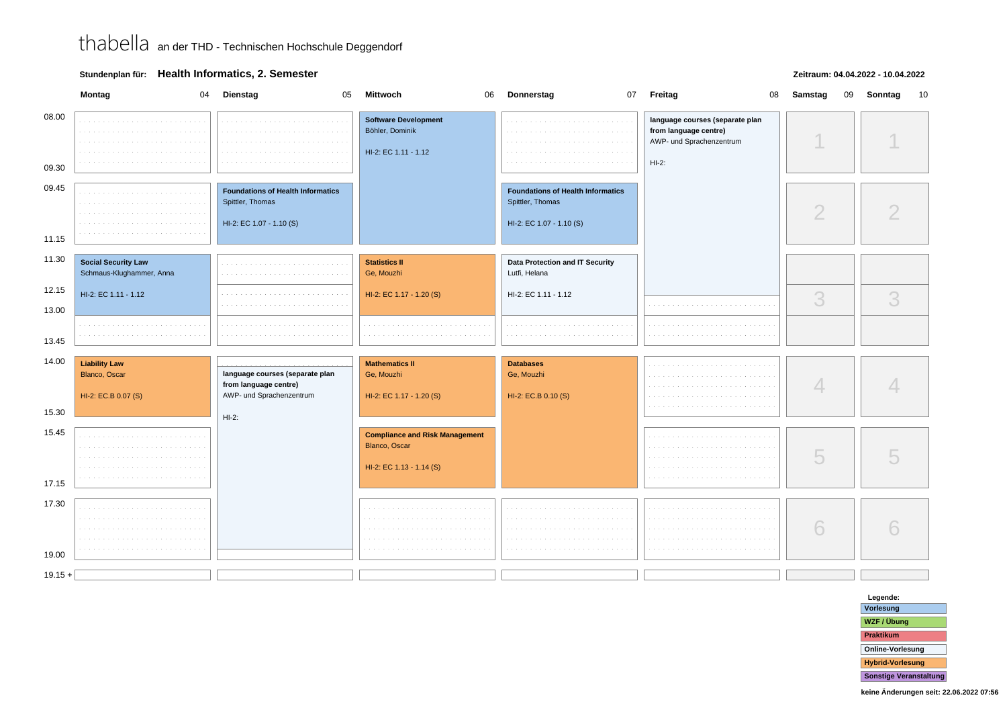### **Stundenplan für: Health Informatics, 2. Semester**

#### **Zeitraum: 04.04.2022 - 10.04.2022**

|                | Montag                                       | 04 Dienstag<br>05                                            | <b>Mittwoch</b>                                                                    | 06 Donnerstag                                                | 07 Freitag                                                                                      | 08 | Samstag       | 09 | Sonntag | 10 |
|----------------|----------------------------------------------|--------------------------------------------------------------|------------------------------------------------------------------------------------|--------------------------------------------------------------|-------------------------------------------------------------------------------------------------|----|---------------|----|---------|----|
| 08.00<br>09.30 | <b>Contract</b>                              |                                                              | <b>Software Development</b><br>Böhler, Dominik<br>HI-2: EC 1.11 - 1.12             |                                                              | language courses (separate plan<br>from language centre)<br>AWP- und Sprachenzentrum<br>$HI-2:$ |    |               |    |         |    |
|                |                                              |                                                              |                                                                                    |                                                              |                                                                                                 |    |               |    |         |    |
| 09.45          |                                              | <b>Foundations of Health Informatics</b><br>Spittler, Thomas |                                                                                    | <b>Foundations of Health Informatics</b><br>Spittler, Thomas |                                                                                                 |    | $\mathcal{D}$ |    |         |    |
| 11.15          |                                              | HI-2: EC 1.07 - 1.10 (S)                                     |                                                                                    | HI-2: EC 1.07 - 1.10 (S)                                     |                                                                                                 |    |               |    |         |    |
| 11.30          | <b>Social Security Law</b>                   |                                                              |                                                                                    |                                                              |                                                                                                 |    |               |    |         |    |
|                | Schmaus-Klughammer, Anna                     |                                                              | <b>Statistics II</b><br>Ge, Mouzhi                                                 | Data Protection and IT Security<br>Lutfi, Helana             |                                                                                                 |    |               |    |         |    |
| 12.15          | HI-2: EC 1.11 - 1.12                         |                                                              | HI-2: EC 1.17 - 1.20 (S)                                                           | HI-2: EC 1.11 - 1.12                                         |                                                                                                 |    | 3             |    | 3       |    |
| 13.00          |                                              |                                                              |                                                                                    |                                                              |                                                                                                 |    |               |    |         |    |
| 13.45          |                                              |                                                              |                                                                                    |                                                              |                                                                                                 |    |               |    |         |    |
| 14.00          |                                              |                                                              |                                                                                    |                                                              |                                                                                                 |    |               |    |         |    |
|                | <b>Liability Law</b><br><b>Blanco, Oscar</b> | language courses (separate plan<br>from language centre)     | <b>Mathematics II</b><br>Ge, Mouzhi                                                | <b>Databases</b><br>Ge, Mouzhi                               |                                                                                                 |    |               |    |         |    |
| 15.30          | HI-2: EC.B 0.07 (S)                          | AWP- und Sprachenzentrum                                     | HI-2: EC 1.17 - 1.20 (S)                                                           | HI-2: EC.B 0.10 (S)                                          |                                                                                                 |    |               |    |         |    |
|                |                                              | $HI-2:$                                                      |                                                                                    |                                                              |                                                                                                 |    |               |    |         |    |
| 15.45          |                                              |                                                              | <b>Compliance and Risk Management</b><br>Blanco, Oscar<br>HI-2: EC 1.13 - 1.14 (S) |                                                              |                                                                                                 |    | U             |    |         |    |
| 17.15          |                                              |                                                              |                                                                                    |                                                              |                                                                                                 |    |               |    |         |    |
| 17.30<br>19.00 | $\sim$ $\sim$                                |                                                              |                                                                                    |                                                              |                                                                                                 |    | 6             |    | 6       |    |
| $19.15 +$      |                                              |                                                              |                                                                                    |                                                              |                                                                                                 |    |               |    |         |    |
|                |                                              |                                                              |                                                                                    |                                                              |                                                                                                 |    |               |    |         |    |

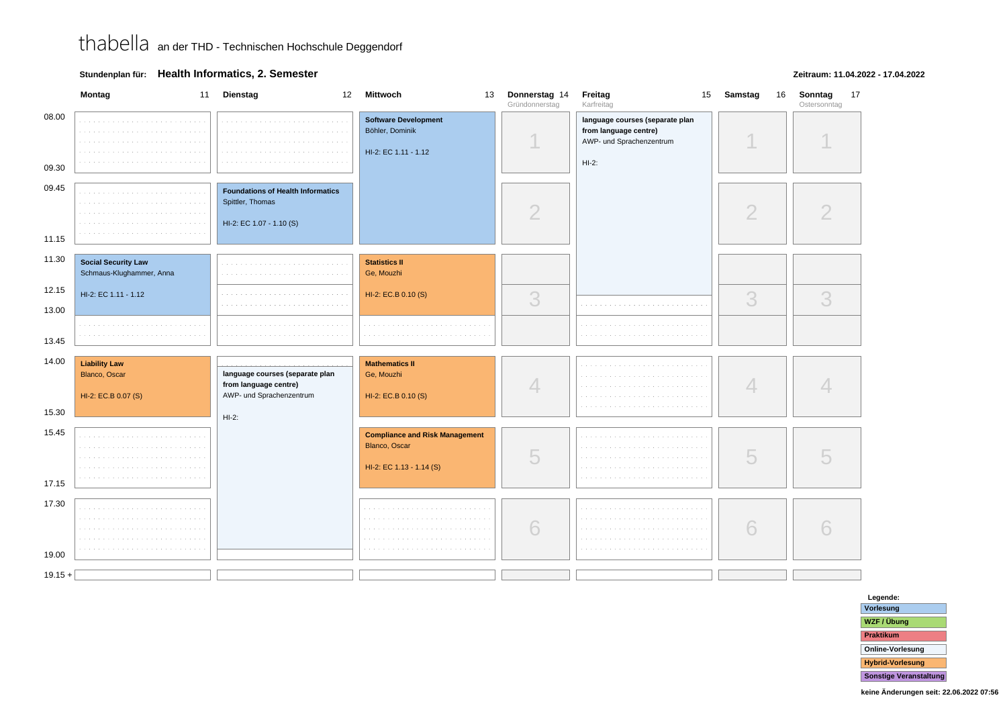### **Zeitraum: 11.04.2022 - 17.04.2022**



**Legende: Vorlesung WZF / ÜbungPraktikum Online-VorlesungHybrid-VorlesungSonstige Veranstaltung**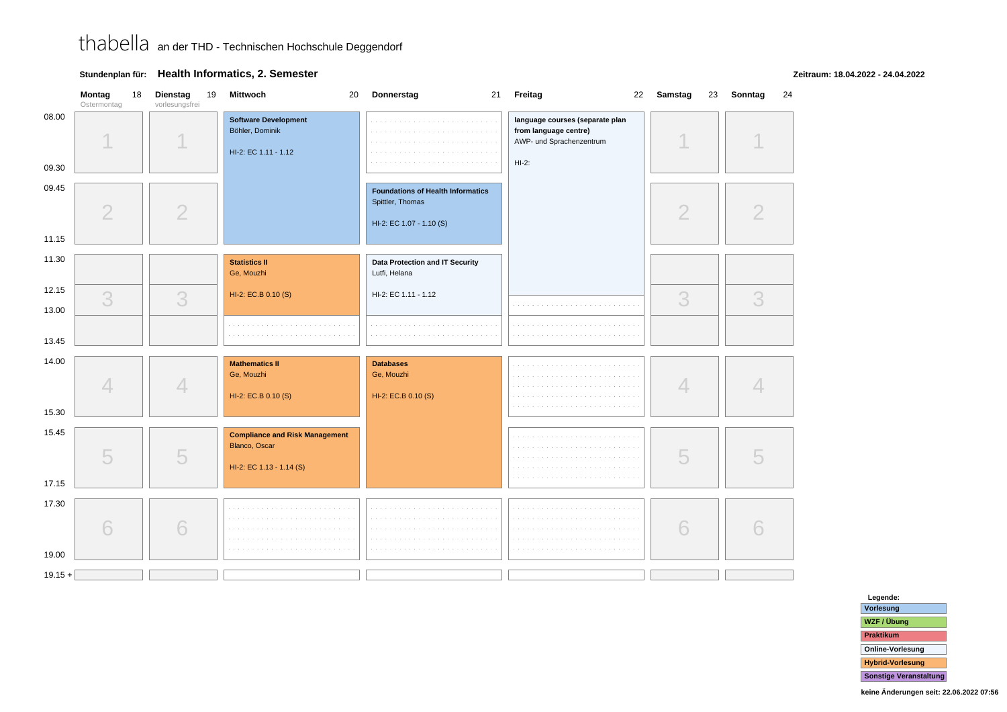### **Stundenplan für: Health Informatics, 2. Semester**

**Zeitraum: 18.04.2022 - 24.04.2022**

|                | Montag<br>18<br>Ostermontag | <b>Dienstag</b><br>19<br>vorlesungsfrei | Mittwoch<br>20                                                         | Donnerstag                                                                               | 21 Freitag                                                                                      | 22 Samstag<br>23 | Sonntag<br>24 |
|----------------|-----------------------------|-----------------------------------------|------------------------------------------------------------------------|------------------------------------------------------------------------------------------|-------------------------------------------------------------------------------------------------|------------------|---------------|
| 08.00<br>09.30 |                             |                                         | <b>Software Development</b><br>Böhler, Dominik<br>HI-2: EC 1.11 - 1.12 |                                                                                          | language courses (separate plan<br>from language centre)<br>AWP- und Sprachenzentrum<br>$HI-2:$ |                  |               |
| 09.45<br>11.15 | $\overline{2}$              | $\overline{2}$                          |                                                                        | <b>Foundations of Health Informatics</b><br>Spittler, Thomas<br>HI-2: EC 1.07 - 1.10 (S) |                                                                                                 | $\overline{2}$   | 2             |
| 11.30          |                             |                                         | <b>Statistics II</b><br>Ge, Mouzhi                                     | Data Protection and IT Security<br>Lutfi, Helana                                         |                                                                                                 |                  |               |
| 12.15<br>13.00 | 3                           | 3                                       | HI-2: EC.B 0.10 (S)                                                    | HI-2: EC 1.11 - 1.12                                                                     | and a state                                                                                     | 3                | 3             |
| 13.45          |                             |                                         |                                                                        |                                                                                          |                                                                                                 |                  |               |
| 14.00          | $\Delta$                    | 4                                       | <b>Mathematics II</b><br>Ge, Mouzhi<br>HI-2: EC.B 0.10 (S)             | <b>Databases</b><br>Ge, Mouzhi<br>HI-2: EC.B 0.10 (S)                                    |                                                                                                 | $\Box$           |               |
| 15.30<br>15.45 |                             |                                         | <b>Compliance and Risk Management</b>                                  |                                                                                          |                                                                                                 |                  |               |
| 17.15          | 5                           | 5                                       | Blanco, Oscar<br>HI-2: EC 1.13 - 1.14 (S)                              |                                                                                          |                                                                                                 | 5                |               |
| 17.30<br>19.00 | 6                           | 6                                       |                                                                        | and and<br><b>College</b>                                                                |                                                                                                 | 6                |               |
| $19.15 +$      |                             |                                         |                                                                        |                                                                                          |                                                                                                 |                  |               |

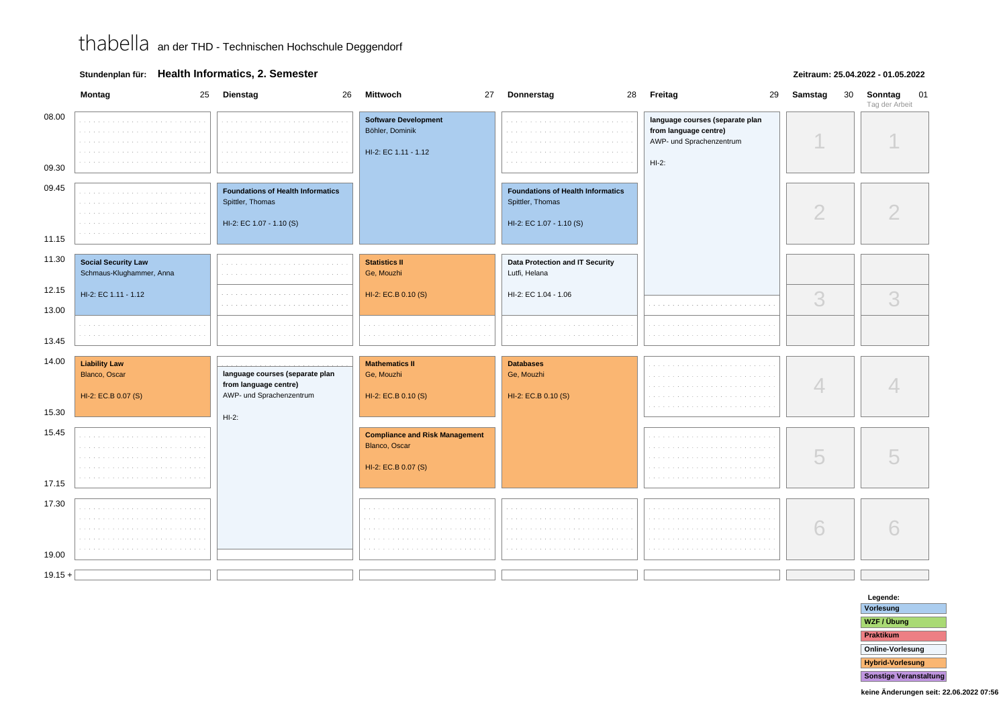### **Stundenplan für: Health Informatics, 2. Semester**

#### **Zeitraum: 25.04.2022 - 01.05.2022**

|                | Montag                                                       | 25 Dienstag<br>26                                                                        | Mittwoch                                                                      | 27 Donnerstag                                                                            | 28 Freitag<br>29                                                                                 | Samstag<br>30  | 01<br>Sonntag<br>Tag der Arbeit |
|----------------|--------------------------------------------------------------|------------------------------------------------------------------------------------------|-------------------------------------------------------------------------------|------------------------------------------------------------------------------------------|--------------------------------------------------------------------------------------------------|----------------|---------------------------------|
| 08.00<br>09.30 | <b>Contract</b>                                              | $\sim$                                                                                   | <b>Software Development</b><br>Böhler, Dominik<br>HI-2: EC 1.11 - 1.12        |                                                                                          | language courses (separate plan<br>from language centre)<br>AWP- und Sprachenzentrum<br>$HI-2$ : |                |                                 |
| 09.45<br>11.15 |                                                              | <b>Foundations of Health Informatics</b><br>Spittler, Thomas<br>HI-2: EC 1.07 - 1.10 (S) |                                                                               | <b>Foundations of Health Informatics</b><br>Spittler, Thomas<br>HI-2: EC 1.07 - 1.10 (S) |                                                                                                  | $\overline{2}$ |                                 |
| 11.30          | <b>Social Security Law</b><br>Schmaus-Klughammer, Anna       |                                                                                          | <b>Statistics II</b><br>Ge, Mouzhi                                            | Data Protection and IT Security<br>Lutfi, Helana                                         |                                                                                                  |                |                                 |
| 12.15<br>13.00 | HI-2: EC 1.11 - 1.12                                         |                                                                                          | HI-2: EC.B 0.10 (S)                                                           | HI-2: EC 1.04 - 1.06                                                                     |                                                                                                  | 3              | 3                               |
| 13.45          |                                                              |                                                                                          |                                                                               |                                                                                          |                                                                                                  |                |                                 |
| 14.00<br>15.30 | <b>Liability Law</b><br>Blanco, Oscar<br>HI-2: EC.B 0.07 (S) | language courses (separate plan<br>from language centre)<br>AWP- und Sprachenzentrum     | <b>Mathematics II</b><br>Ge, Mouzhi<br>HI-2: EC.B 0.10 (S)                    | <b>Databases</b><br>Ge, Mouzhi<br>HI-2: EC.B 0.10 (S)                                    |                                                                                                  | 4              |                                 |
| 15.45<br>17.15 |                                                              | $HI-2:$                                                                                  | <b>Compliance and Risk Management</b><br>Blanco, Oscar<br>HI-2: EC.B 0.07 (S) |                                                                                          |                                                                                                  | 5              |                                 |
| 17.30<br>19.00 | .<br>.                                                       |                                                                                          |                                                                               |                                                                                          |                                                                                                  | 6              |                                 |
| $19.15 +$      |                                                              |                                                                                          |                                                                               |                                                                                          |                                                                                                  |                |                                 |

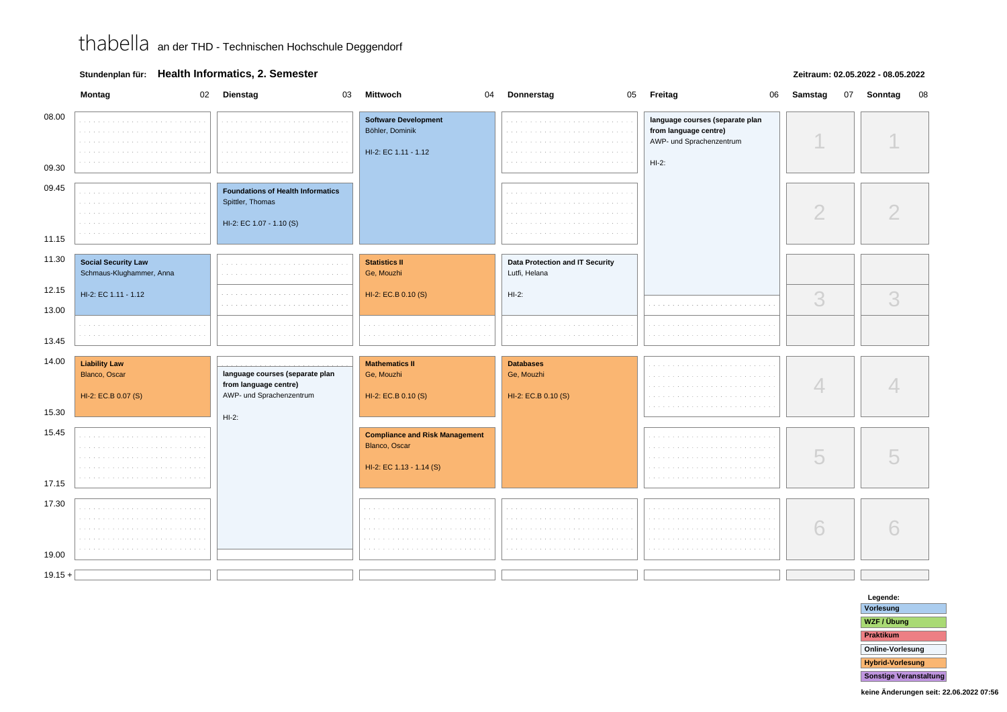### **Stundenplan für: Health Informatics, 2. Semester**

#### **Zeitraum: 02.05.2022 - 08.05.2022**

|                | Montag<br>02                                                 | Dienstag<br>03                                                                       | <b>Mittwoch</b><br>04                                                              | Donnerstag                                            | 05 Freitag<br>06                                                                                | Samstag<br>07 | Sonntag<br>08 |
|----------------|--------------------------------------------------------------|--------------------------------------------------------------------------------------|------------------------------------------------------------------------------------|-------------------------------------------------------|-------------------------------------------------------------------------------------------------|---------------|---------------|
| 08.00<br>09.30 |                                                              |                                                                                      | <b>Software Development</b><br>Böhler, Dominik<br>HI-2: EC 1.11 - 1.12             |                                                       | language courses (separate plan<br>from language centre)<br>AWP- und Sprachenzentrum<br>$HI-2:$ |               |               |
|                |                                                              |                                                                                      |                                                                                    |                                                       |                                                                                                 |               |               |
| 09.45          |                                                              | <b>Foundations of Health Informatics</b><br>Spittler, Thomas                         |                                                                                    |                                                       |                                                                                                 | $\bigcirc$    |               |
| 11.15          |                                                              | HI-2: EC 1.07 - 1.10 (S)                                                             |                                                                                    |                                                       |                                                                                                 |               |               |
| 11.30          | <b>Social Security Law</b><br>Schmaus-Klughammer, Anna       |                                                                                      | <b>Statistics II</b><br>Ge, Mouzhi                                                 | Data Protection and IT Security<br>Lutfi, Helana      |                                                                                                 |               |               |
| 12.15          | HI-2: EC 1.11 - 1.12                                         |                                                                                      | HI-2: EC.B 0.10 (S)                                                                | $HI-2:$                                               |                                                                                                 | 3             | 3             |
| 13.00<br>13.45 |                                                              |                                                                                      |                                                                                    |                                                       |                                                                                                 |               |               |
| 14.00          | <b>Liability Law</b><br>Blanco, Oscar<br>HI-2: EC.B 0.07 (S) | language courses (separate plan<br>from language centre)<br>AWP- und Sprachenzentrum | <b>Mathematics II</b><br>Ge, Mouzhi<br>HI-2: EC.B 0.10 (S)                         | <b>Databases</b><br>Ge, Mouzhi<br>HI-2: EC.B 0.10 (S) |                                                                                                 |               |               |
| 15.30          |                                                              | $HI-2:$                                                                              |                                                                                    |                                                       |                                                                                                 |               |               |
| 15.45<br>17.15 |                                                              |                                                                                      | <b>Compliance and Risk Management</b><br>Blanco, Oscar<br>HI-2: EC 1.13 - 1.14 (S) |                                                       |                                                                                                 | 5             |               |
|                |                                                              |                                                                                      |                                                                                    |                                                       |                                                                                                 |               |               |
| 17.30<br>19.00 | $\sim$                                                       |                                                                                      |                                                                                    |                                                       |                                                                                                 | 6             | 6             |
| $19.15 +$      |                                                              |                                                                                      |                                                                                    |                                                       |                                                                                                 |               |               |
|                |                                                              |                                                                                      |                                                                                    |                                                       |                                                                                                 |               |               |

**Legende: Vorlesung WZF / ÜbungPraktikum Online-VorlesungHybrid-VorlesungSonstige Veranstaltung**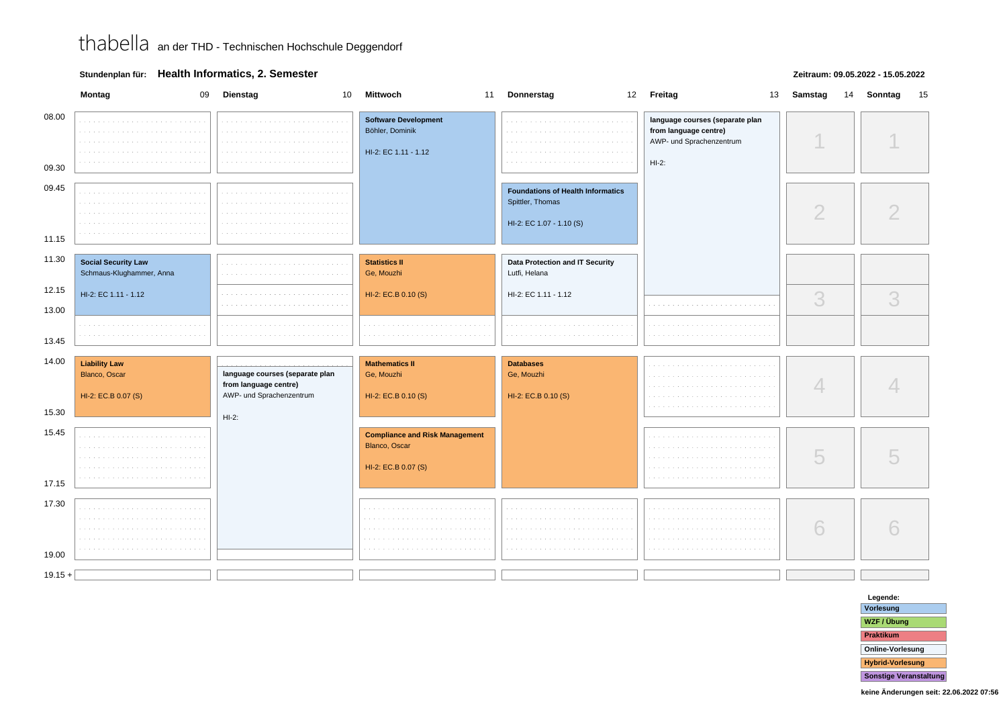### **Stundenplan für: Health Informatics, 2. Semester**

#### **Zeitraum: 09.05.2022 - 15.05.2022**

|                | Montag<br>09                                                 | <b>Dienstag</b><br>10                                                                | <b>Mittwoch</b>                                                               | 11 Donnerstag                                                                            | 12 Freitag                                                                                      | 13 | Samstag    | 14 | Sonntag<br>15 |
|----------------|--------------------------------------------------------------|--------------------------------------------------------------------------------------|-------------------------------------------------------------------------------|------------------------------------------------------------------------------------------|-------------------------------------------------------------------------------------------------|----|------------|----|---------------|
| 08.00<br>09.30 | <b>Contractor</b><br><b>College</b>                          | the contract of the contract                                                         | <b>Software Development</b><br>Böhler, Dominik<br>HI-2: EC 1.11 - 1.12        | the common                                                                               | language courses (separate plan<br>from language centre)<br>AWP- und Sprachenzentrum<br>$HI-2:$ |    |            |    |               |
| 09.45<br>11.15 |                                                              |                                                                                      |                                                                               | <b>Foundations of Health Informatics</b><br>Spittler, Thomas<br>HI-2: EC 1.07 - 1.10 (S) |                                                                                                 |    | $\bigcirc$ |    |               |
| 11.30          | <b>Social Security Law</b><br>Schmaus-Klughammer, Anna       | and the control                                                                      | <b>Statistics II</b><br>Ge, Mouzhi                                            | Data Protection and IT Security<br>Lutfi, Helana                                         |                                                                                                 |    |            |    |               |
| 12.15<br>13.00 | HI-2: EC 1.11 - 1.12                                         |                                                                                      | HI-2: EC.B 0.10 (S)                                                           | HI-2: EC 1.11 - 1.12                                                                     |                                                                                                 |    | 3          |    | 3             |
| 13.45          |                                                              |                                                                                      |                                                                               |                                                                                          |                                                                                                 |    |            |    |               |
| 14.00<br>15.30 | <b>Liability Law</b><br>Blanco, Oscar<br>HI-2: EC.B 0.07 (S) | language courses (separate plan<br>from language centre)<br>AWP- und Sprachenzentrum | <b>Mathematics II</b><br>Ge, Mouzhi<br>HI-2: EC.B 0.10 (S)                    | <b>Databases</b><br>Ge, Mouzhi<br>HI-2: EC.B 0.10 (S)                                    |                                                                                                 |    | 4          |    |               |
| 15.45<br>17.15 |                                                              | $HI-2:$                                                                              | <b>Compliance and Risk Management</b><br>Blanco, Oscar<br>HI-2: EC.B 0.07 (S) |                                                                                          |                                                                                                 |    | 5          |    |               |
| 17.30<br>19.00 | $\sim$ $\sim$<br>$\sim$                                      |                                                                                      |                                                                               |                                                                                          |                                                                                                 |    | 6          |    |               |
| $19.15 +$      |                                                              |                                                                                      |                                                                               |                                                                                          |                                                                                                 |    |            |    |               |

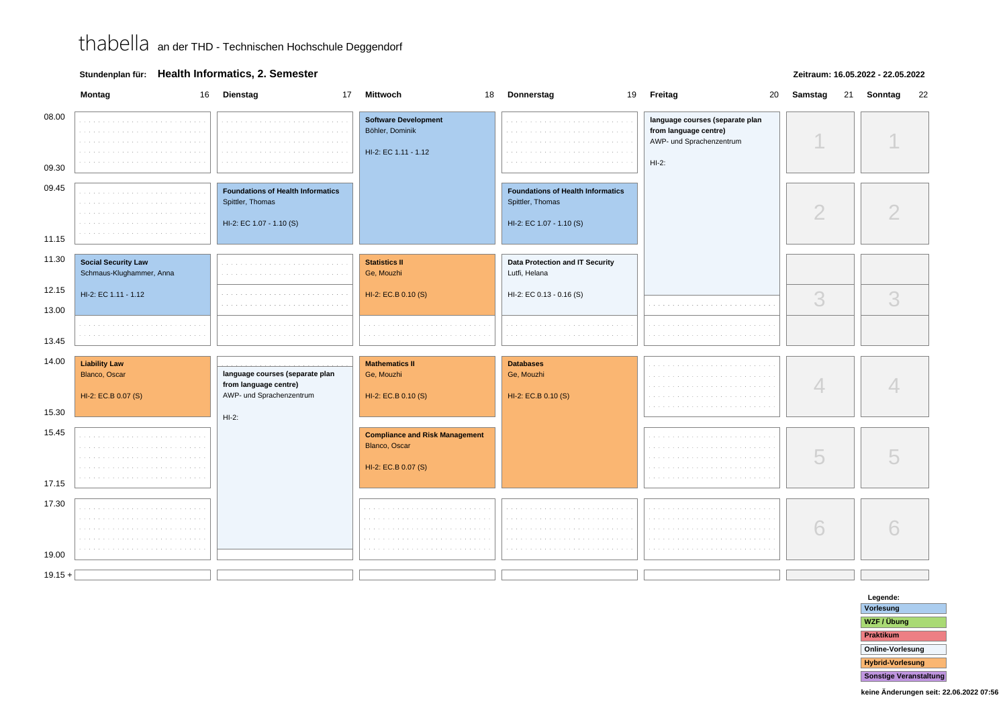### **Stundenplan für: Health Informatics, 2. Semester**

#### **Zeitraum: 16.05.2022 - 22.05.2022**

|                | Montag<br>16                                                 | <b>Dienstag</b>                                                                          | 17 Mittwoch<br>18                                                             | Donnerstag                                                                               | 19 Freitag<br>20                                                                                | Samstag<br>21 | Sonntag<br>22 |
|----------------|--------------------------------------------------------------|------------------------------------------------------------------------------------------|-------------------------------------------------------------------------------|------------------------------------------------------------------------------------------|-------------------------------------------------------------------------------------------------|---------------|---------------|
| 08.00<br>09.30 | contractor and contract<br>and a                             | the company's company's and                                                              | <b>Software Development</b><br>Böhler, Dominik<br>HI-2: EC 1.11 - 1.12        | <b>Contractor</b>                                                                        | language courses (separate plan<br>from language centre)<br>AWP- und Sprachenzentrum<br>$HI-2:$ |               |               |
| 09.45<br>11.15 |                                                              | <b>Foundations of Health Informatics</b><br>Spittler, Thomas<br>HI-2: EC 1.07 - 1.10 (S) |                                                                               | <b>Foundations of Health Informatics</b><br>Spittler, Thomas<br>HI-2: EC 1.07 - 1.10 (S) |                                                                                                 | $\bigcirc$    |               |
| 11.30          | <b>Social Security Law</b><br>Schmaus-Klughammer, Anna       | and the con-                                                                             | <b>Statistics II</b><br>Ge, Mouzhi                                            | Data Protection and IT Security<br>Lutfi, Helana                                         |                                                                                                 |               |               |
| 12.15          | HI-2: EC 1.11 - 1.12                                         |                                                                                          | HI-2: EC.B 0.10 (S)                                                           | HI-2: EC 0.13 - 0.16 (S)                                                                 |                                                                                                 | 3             | 3             |
| 13.00<br>13.45 |                                                              |                                                                                          |                                                                               |                                                                                          |                                                                                                 |               |               |
| 14.00          | <b>Liability Law</b><br>Blanco, Oscar<br>HI-2: EC.B 0.07 (S) | language courses (separate plan<br>from language centre)<br>AWP- und Sprachenzentrum     | <b>Mathematics II</b><br>Ge, Mouzhi<br>HI-2: EC.B 0.10 (S)                    | <b>Databases</b><br>Ge, Mouzhi<br>HI-2: EC.B 0.10 (S)                                    |                                                                                                 | 4             |               |
| 15.30          |                                                              | $HI-2:$                                                                                  |                                                                               |                                                                                          |                                                                                                 |               |               |
| 15.45<br>17.15 | $\mathcal{L}=\mathcal{L}=\mathcal{L}$                        |                                                                                          | <b>Compliance and Risk Management</b><br>Blanco, Oscar<br>HI-2: EC.B 0.07 (S) |                                                                                          |                                                                                                 | U             |               |
| 17.30<br>19.00 | .<br>$\sim$ $\sim$                                           |                                                                                          |                                                                               |                                                                                          |                                                                                                 | 6             |               |
| $19.15 +$      |                                                              |                                                                                          |                                                                               |                                                                                          |                                                                                                 |               |               |

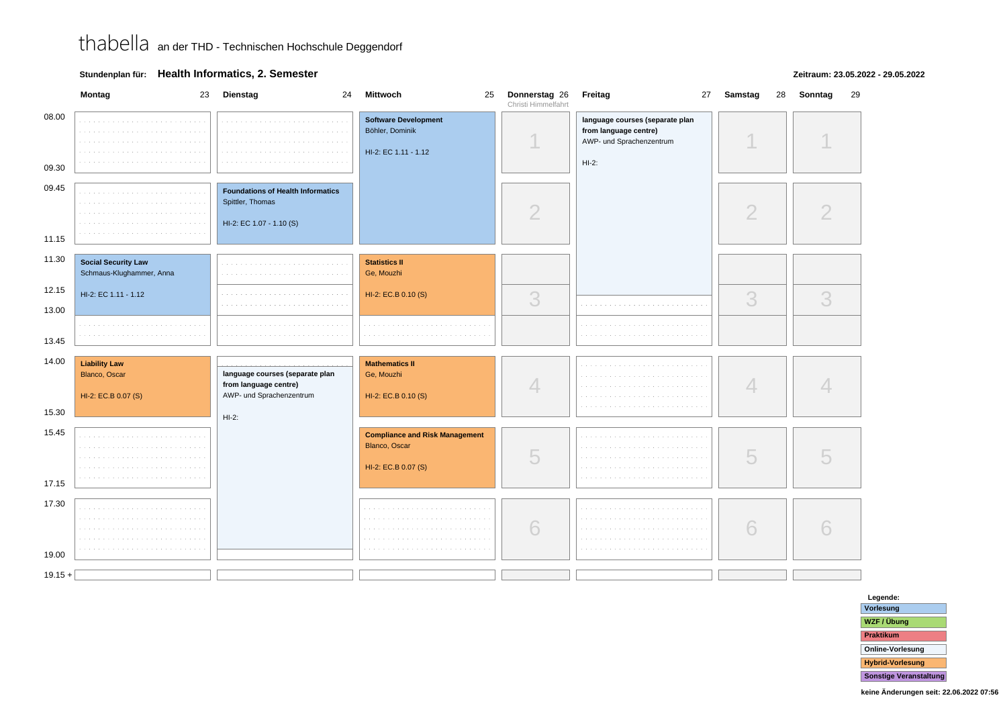**Stundenplan für: Health Informatics, 2. Semester**

### **Zeitraum: 23.05.2022 - 29.05.2022**

|                | Montag                                                              | 23 Dienstag<br>24                                                                        | Mittwoch<br>25                                                                | Donnerstag 26<br>Christi Himmelfahrt | Freitag                                                                                         | 27 Samstag     | 28 Sonntag<br>29 |
|----------------|---------------------------------------------------------------------|------------------------------------------------------------------------------------------|-------------------------------------------------------------------------------|--------------------------------------|-------------------------------------------------------------------------------------------------|----------------|------------------|
| 08.00<br>09.30 |                                                                     |                                                                                          | <b>Software Development</b><br>Böhler, Dominik<br>HI-2: EC 1.11 - 1.12        |                                      | language courses (separate plan<br>from language centre)<br>AWP- und Sprachenzentrum<br>$HI-2:$ |                |                  |
| 09.45<br>11.15 |                                                                     | <b>Foundations of Health Informatics</b><br>Spittler, Thomas<br>HI-2: EC 1.07 - 1.10 (S) |                                                                               | $\overline{2}$                       |                                                                                                 | $\overline{2}$ | $\overline{2}$   |
| 11.30          | <b>Social Security Law</b><br>Schmaus-Klughammer, Anna              |                                                                                          | <b>Statistics II</b><br>Ge, Mouzhi                                            |                                      |                                                                                                 |                |                  |
| 12.15<br>13.00 | HI-2: EC 1.11 - 1.12                                                |                                                                                          | HI-2: EC.B 0.10 (S)                                                           | 3                                    |                                                                                                 | 3              | 3                |
| 13.45          |                                                                     |                                                                                          |                                                                               |                                      |                                                                                                 |                |                  |
| 14.00          | <b>Liability Law</b><br><b>Blanco, Oscar</b><br>HI-2: EC.B 0.07 (S) | language courses (separate plan<br>from language centre)<br>AWP- und Sprachenzentrum     | <b>Mathematics II</b><br>Ge, Mouzhi<br>HI-2: EC.B 0.10 (S)                    | $\overline{4}$                       |                                                                                                 | 4              |                  |
| 15.30          |                                                                     | $HI-2:$                                                                                  |                                                                               |                                      |                                                                                                 |                |                  |
| 15.45<br>17.15 |                                                                     |                                                                                          | <b>Compliance and Risk Management</b><br>Blanco, Oscar<br>HI-2: EC.B 0.07 (S) | 5                                    |                                                                                                 | 5              | 5                |
| 17.30          |                                                                     |                                                                                          |                                                                               |                                      |                                                                                                 |                |                  |
| 19.00          |                                                                     |                                                                                          |                                                                               | 6                                    |                                                                                                 | 6              |                  |
|                |                                                                     |                                                                                          |                                                                               |                                      |                                                                                                 |                |                  |
| $19.15 +$      |                                                                     |                                                                                          |                                                                               |                                      |                                                                                                 |                |                  |

**Legende: Vorlesung WZF / ÜbungPraktikum Online-VorlesungHybrid-VorlesungSonstige Veranstaltung**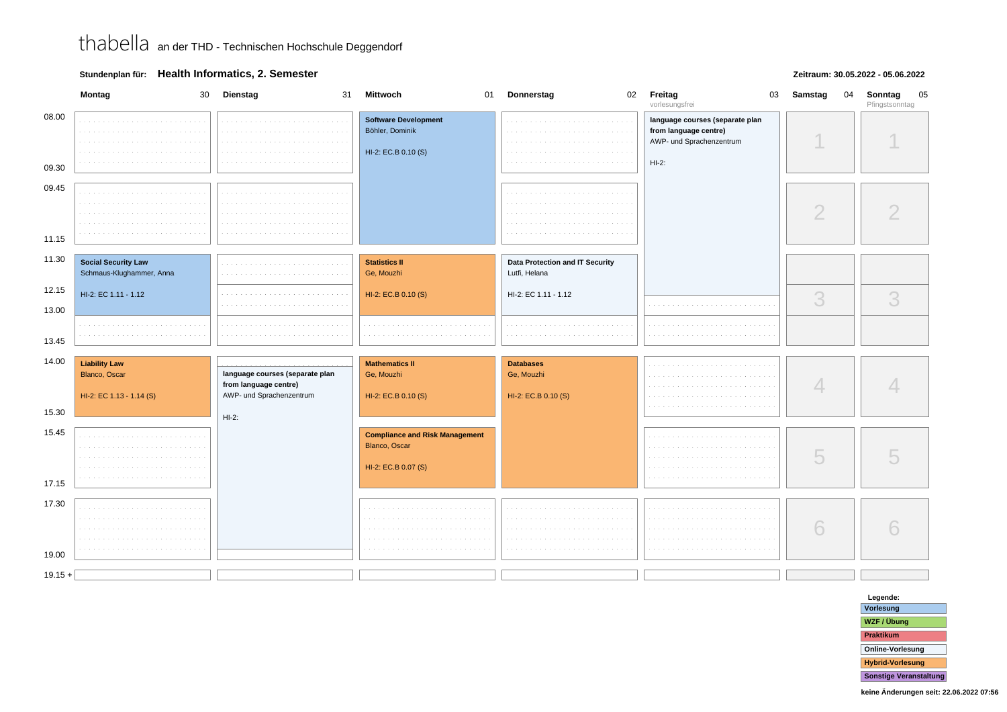### **Stundenplan für: Health Informatics, 2. Semester**

#### **Zeitraum: 30.05.2022 - 05.06.2022**

|                | Montag<br>30                                                      | Dienstag<br>31                                                                       | <b>Mittwoch</b><br>01                                                         | Donnerstag<br>02                                      | Freitag<br>03<br>vorlesungsfrei                                                                 | Samstag<br>04  | 05<br>Sonntag<br>Pfingstsonntag |
|----------------|-------------------------------------------------------------------|--------------------------------------------------------------------------------------|-------------------------------------------------------------------------------|-------------------------------------------------------|-------------------------------------------------------------------------------------------------|----------------|---------------------------------|
| 08.00<br>09.30 | and a<br>$\sim$<br>.                                              |                                                                                      | <b>Software Development</b><br>Böhler, Dominik<br>HI-2: EC.B 0.10 (S)         |                                                       | language courses (separate plan<br>from language centre)<br>AWP- und Sprachenzentrum<br>$HI-2:$ |                |                                 |
| 09.45          |                                                                   |                                                                                      |                                                                               |                                                       |                                                                                                 |                |                                 |
|                | a sa s                                                            |                                                                                      |                                                                               |                                                       |                                                                                                 | $\overline{2}$ |                                 |
| 11.15          |                                                                   |                                                                                      |                                                                               |                                                       |                                                                                                 |                |                                 |
| 11.30          | <b>Social Security Law</b><br>Schmaus-Klughammer, Anna            | <b>College</b>                                                                       | <b>Statistics II</b><br>Ge, Mouzhi                                            | Data Protection and IT Security<br>Lutfi, Helana      |                                                                                                 |                |                                 |
| 12.15<br>13.00 | HI-2: EC 1.11 - 1.12                                              | .                                                                                    | HI-2: EC.B 0.10 (S)                                                           | HI-2: EC 1.11 - 1.12                                  |                                                                                                 | 3              | 3                               |
| 13.45          |                                                                   |                                                                                      |                                                                               |                                                       |                                                                                                 |                |                                 |
| 14.00          | <b>Liability Law</b><br>Blanco, Oscar<br>HI-2: EC 1.13 - 1.14 (S) | language courses (separate plan<br>from language centre)<br>AWP- und Sprachenzentrum | <b>Mathematics II</b><br>Ge, Mouzhi<br>HI-2: EC.B 0.10 (S)                    | <b>Databases</b><br>Ge, Mouzhi<br>HI-2: EC.B 0.10 (S) |                                                                                                 | 4              |                                 |
| 15.30          |                                                                   | $HI-2:$                                                                              |                                                                               |                                                       |                                                                                                 |                |                                 |
| 15.45<br>17.15 |                                                                   |                                                                                      | <b>Compliance and Risk Management</b><br>Blanco, Oscar<br>HI-2: EC.B 0.07 (S) |                                                       |                                                                                                 | 5              |                                 |
| 17.30<br>19.00 | .<br>.<br>.<br>e e s                                              |                                                                                      |                                                                               | <b>State</b>                                          |                                                                                                 | 6              |                                 |
| $19.15 +$      |                                                                   |                                                                                      |                                                                               |                                                       |                                                                                                 |                |                                 |

**Legende: Vorlesung WZF / ÜbungPraktikum Online-VorlesungHybrid-VorlesungSonstige Veranstaltung**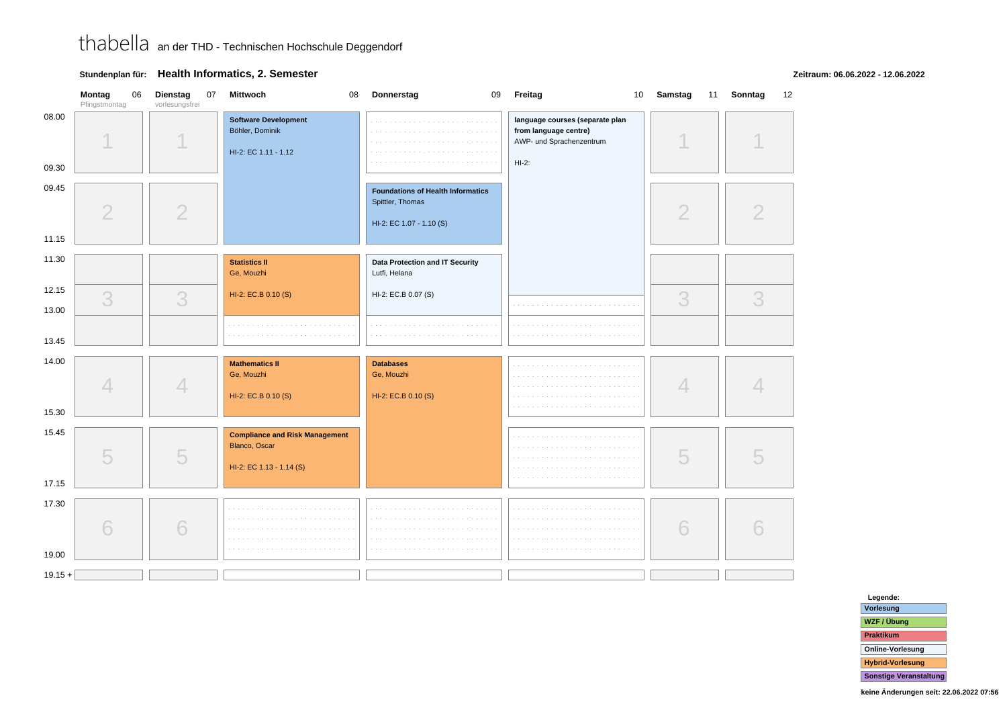### **Stundenplan für: Health Informatics, 2. Semester**

**Zeitraum: 06.06.2022 - 12.06.2022**

| 08.00<br><b>Software Development</b><br>language courses (separate plan<br>والمنابذة<br>and a strip of<br>Böhler, Dominik<br>from language centre)<br>a contra<br>and a state<br>AWP- und Sprachenzentrum<br>HI-2: EC 1.11 - 1.12<br>$HI-2:$<br>09.30<br>09.45<br><b>Foundations of Health Informatics</b><br>Spittler, Thomas<br>$\overline{2}$<br>$\overline{2}$<br>$\overline{2}$<br>HI-2: EC 1.07 - 1.10 (S)<br>11.15<br>11.30<br><b>Statistics II</b><br><b>Data Protection and IT Security</b><br>Ge, Mouzhi<br>Lutfi, Helana<br>12.15<br>HI-2: EC.B 0.10 (S)<br>HI-2: EC.B 0.07 (S)<br>3<br>3<br>3<br>3<br>a construction of the company of the construction of the company of the construction of the construction of the construction of the construction of the construction of the construction of the construction of the constructi<br>13.00<br>13.45 | 12 |
|--------------------------------------------------------------------------------------------------------------------------------------------------------------------------------------------------------------------------------------------------------------------------------------------------------------------------------------------------------------------------------------------------------------------------------------------------------------------------------------------------------------------------------------------------------------------------------------------------------------------------------------------------------------------------------------------------------------------------------------------------------------------------------------------------------------------------------------------------------------------|----|
|                                                                                                                                                                                                                                                                                                                                                                                                                                                                                                                                                                                                                                                                                                                                                                                                                                                                    |    |
|                                                                                                                                                                                                                                                                                                                                                                                                                                                                                                                                                                                                                                                                                                                                                                                                                                                                    |    |
|                                                                                                                                                                                                                                                                                                                                                                                                                                                                                                                                                                                                                                                                                                                                                                                                                                                                    |    |
|                                                                                                                                                                                                                                                                                                                                                                                                                                                                                                                                                                                                                                                                                                                                                                                                                                                                    |    |
|                                                                                                                                                                                                                                                                                                                                                                                                                                                                                                                                                                                                                                                                                                                                                                                                                                                                    |    |
| 14.00<br><b>Mathematics II</b><br><b>Databases</b><br>Ge, Mouzhi<br>Ge, Mouzhi<br>4<br>4<br>4<br>HI-2: EC.B 0.10 (S)<br>HI-2: EC.B 0.10 (S)                                                                                                                                                                                                                                                                                                                                                                                                                                                                                                                                                                                                                                                                                                                        |    |
| 15.30                                                                                                                                                                                                                                                                                                                                                                                                                                                                                                                                                                                                                                                                                                                                                                                                                                                              |    |
| 15.45<br><b>Compliance and Risk Management</b><br>Blanco, Oscar<br>5<br>5<br>5<br>HI-2: EC 1.13 - 1.14 (S)<br>17.15                                                                                                                                                                                                                                                                                                                                                                                                                                                                                                                                                                                                                                                                                                                                                |    |
| 17.30<br>$\sim$ $\sim$<br>and and<br>a contra<br>$\sim$ 100 $\pm$<br>6<br>6<br>6<br>$\sim$ $\sim$<br>and a<br>a sa sa<br>$\sim$ $\sim$<br>19.00                                                                                                                                                                                                                                                                                                                                                                                                                                                                                                                                                                                                                                                                                                                    |    |
| $19.15 +$                                                                                                                                                                                                                                                                                                                                                                                                                                                                                                                                                                                                                                                                                                                                                                                                                                                          |    |

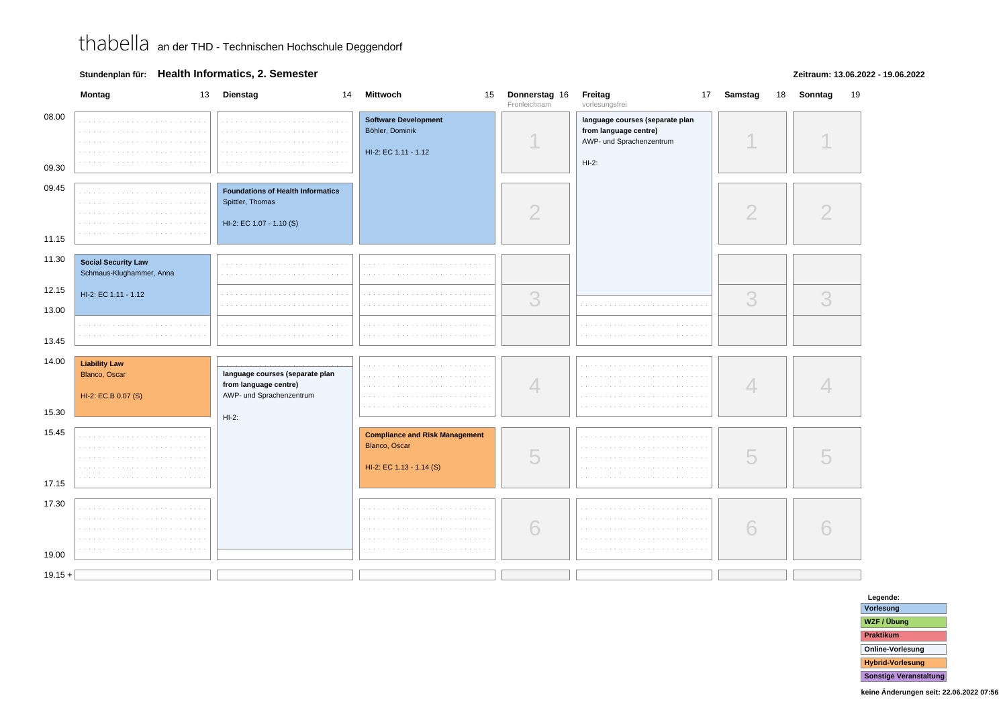**Stundenplan für: Health Informatics, 2. Semester**

### **Zeitraum: 13.06.2022 - 19.06.2022**

|                         | Montag                                                       | 13 Dienstag<br>14                                                                        | <b>Mittwoch</b>                                                                    | 15 Donnerstag 16<br>Fronleichnam | Freitag<br>vorlesungsfrei                                                                       | 17 Samstag | 18 Sonntag<br>19 |
|-------------------------|--------------------------------------------------------------|------------------------------------------------------------------------------------------|------------------------------------------------------------------------------------|----------------------------------|-------------------------------------------------------------------------------------------------|------------|------------------|
| 08.00<br>09.30          |                                                              | and a state                                                                              | <b>Software Development</b><br>Böhler, Dominik<br>HI-2: EC 1.11 - 1.12             |                                  | language courses (separate plan<br>from language centre)<br>AWP- und Sprachenzentrum<br>$HI-2:$ |            |                  |
| 09.45<br>11.15          |                                                              | <b>Foundations of Health Informatics</b><br>Spittler, Thomas<br>HI-2: EC 1.07 - 1.10 (S) |                                                                                    | ∩                                |                                                                                                 | 2          |                  |
| 11.30                   | <b>Social Security Law</b><br>Schmaus-Klughammer, Anna       | and a state                                                                              | contractors.<br>.                                                                  |                                  |                                                                                                 |            |                  |
| 12.15<br>13.00          | HI-2: EC 1.11 - 1.12                                         |                                                                                          |                                                                                    | 3                                |                                                                                                 | 3          | 3                |
| 13.45                   |                                                              |                                                                                          |                                                                                    |                                  |                                                                                                 |            |                  |
| 14.00                   | <b>Liability Law</b><br>Blanco, Oscar<br>HI-2: EC.B 0.07 (S) | language courses (separate plan<br>from language centre)<br>AWP- und Sprachenzentrum     |                                                                                    | $\overline{\mathcal{A}}$         |                                                                                                 |            |                  |
| 15.30<br>15.45<br>17.15 |                                                              | $HI-2:$                                                                                  | <b>Compliance and Risk Management</b><br>Blanco, Oscar<br>HI-2: EC 1.13 - 1.14 (S) | 5                                |                                                                                                 | 5          |                  |
| 17.30<br>19.00          | <b>Contract</b><br>The Contract of                           |                                                                                          |                                                                                    | 6                                |                                                                                                 | 6          |                  |
| $19.15 +$               |                                                              |                                                                                          |                                                                                    |                                  |                                                                                                 |            |                  |

**Legende: Vorlesung WZF / ÜbungPraktikum Online-VorlesungHybrid-VorlesungSonstige Veranstaltung**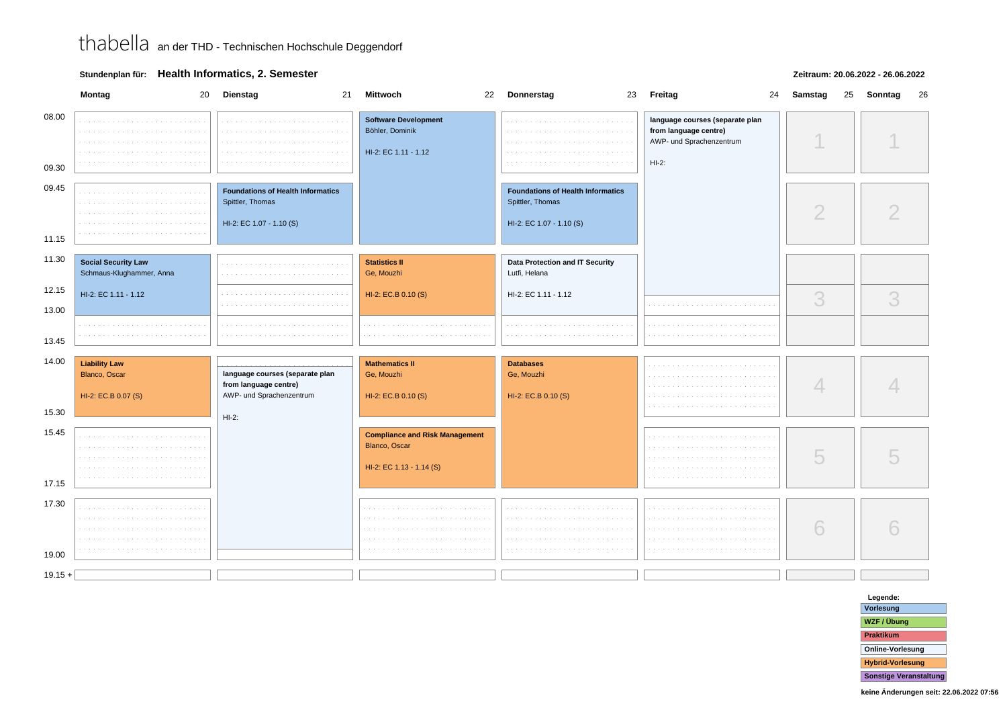### **Stundenplan für: Health Informatics, 2. Semester**

#### **Zeitraum: 20.06.2022 - 26.06.2022**

|                | Montag<br>20                                                 | Dienstag<br>21                                                                           | <b>Mittwoch</b>                                                                    | 22 Donnerstag                                                                            | 23 Freitag<br>24                                                                                | Samstag<br>25 | 26<br>Sonntag |
|----------------|--------------------------------------------------------------|------------------------------------------------------------------------------------------|------------------------------------------------------------------------------------|------------------------------------------------------------------------------------------|-------------------------------------------------------------------------------------------------|---------------|---------------|
| 08.00<br>09.30 |                                                              | a de la carra de las                                                                     | <b>Software Development</b><br>Böhler, Dominik<br>HI-2: EC 1.11 - 1.12             |                                                                                          | language courses (separate plan<br>from language centre)<br>AWP- und Sprachenzentrum<br>$HI-2:$ |               |               |
| 09.45<br>11.15 |                                                              | <b>Foundations of Health Informatics</b><br>Spittler, Thomas<br>HI-2: EC 1.07 - 1.10 (S) |                                                                                    | <b>Foundations of Health Informatics</b><br>Spittler, Thomas<br>HI-2: EC 1.07 - 1.10 (S) |                                                                                                 | $\mathcal{D}$ |               |
| 11.30          | <b>Social Security Law</b><br>Schmaus-Klughammer, Anna       |                                                                                          | <b>Statistics II</b><br>Ge, Mouzhi                                                 | Data Protection and IT Security<br>Lutfi, Helana                                         |                                                                                                 |               |               |
| 12.15<br>13.00 | HI-2: EC 1.11 - 1.12                                         |                                                                                          | HI-2: EC.B 0.10 (S)                                                                | HI-2: EC 1.11 - 1.12                                                                     |                                                                                                 | 3             | 3             |
| 13.45          |                                                              |                                                                                          |                                                                                    |                                                                                          |                                                                                                 |               |               |
| 14.00          | <b>Liability Law</b><br>Blanco, Oscar<br>HI-2: EC.B 0.07 (S) | language courses (separate plan<br>from language centre)<br>AWP- und Sprachenzentrum     | <b>Mathematics II</b><br>Ge, Mouzhi<br>HI-2: EC.B 0.10 (S)                         | <b>Databases</b><br>Ge, Mouzhi<br>HI-2: EC.B 0.10 (S)                                    |                                                                                                 | 4             |               |
| 15.30<br>15.45 |                                                              | $HI-2:$                                                                                  |                                                                                    |                                                                                          |                                                                                                 |               |               |
| 17.15          |                                                              |                                                                                          | <b>Compliance and Risk Management</b><br>Blanco, Oscar<br>HI-2: EC 1.13 - 1.14 (S) |                                                                                          |                                                                                                 | 5             |               |
| 17.30<br>19.00 |                                                              |                                                                                          |                                                                                    |                                                                                          |                                                                                                 | 6             |               |
| $19.15 +$      |                                                              |                                                                                          |                                                                                    |                                                                                          |                                                                                                 |               |               |

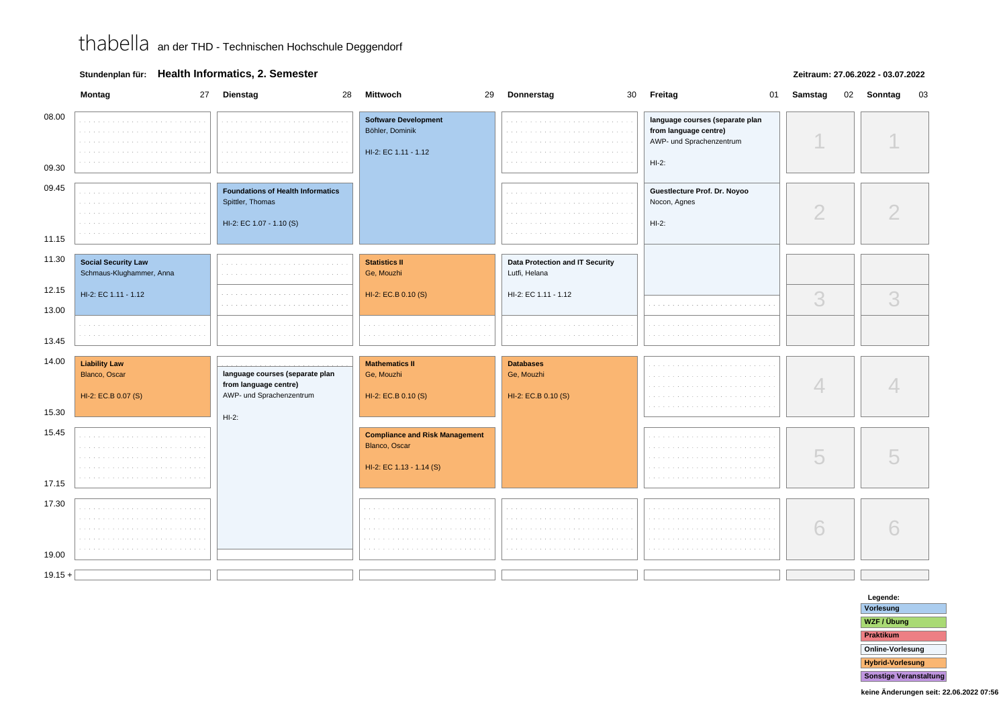### **Stundenplan für: Health Informatics, 2. Semester**

#### **Zeitraum: 27.06.2022 - 03.07.2022**

|                | Montag                                                       | 27 Dienstag<br>28                                                                        | <b>Mittwoch</b><br>29                                                              | Donnerstag                                            | 30 Freitag<br>01                                                                                | Samstag<br>02 | Sonntag<br>03 |
|----------------|--------------------------------------------------------------|------------------------------------------------------------------------------------------|------------------------------------------------------------------------------------|-------------------------------------------------------|-------------------------------------------------------------------------------------------------|---------------|---------------|
| 08.00<br>09.30 |                                                              |                                                                                          | <b>Software Development</b><br>Böhler, Dominik<br>HI-2: EC 1.11 - 1.12             |                                                       | language courses (separate plan<br>from language centre)<br>AWP- und Sprachenzentrum<br>$HI-2:$ |               |               |
| 09.45<br>11.15 |                                                              | <b>Foundations of Health Informatics</b><br>Spittler, Thomas<br>HI-2: EC 1.07 - 1.10 (S) |                                                                                    |                                                       | Guestlecture Prof. Dr. Noyoo<br>Nocon, Agnes<br>$HI-2:$                                         | ◠             |               |
| 11.30          | <b>Social Security Law</b><br>Schmaus-Klughammer, Anna       |                                                                                          | <b>Statistics II</b><br>Ge, Mouzhi                                                 | Data Protection and IT Security<br>Lutfi, Helana      |                                                                                                 |               |               |
| 12.15<br>13.00 | HI-2: EC 1.11 - 1.12                                         |                                                                                          | HI-2: EC.B 0.10 (S)                                                                | HI-2: EC 1.11 - 1.12                                  |                                                                                                 | 3             | 3             |
| 13.45          |                                                              |                                                                                          |                                                                                    |                                                       |                                                                                                 |               |               |
| 14.00<br>15.30 | <b>Liability Law</b><br>Blanco, Oscar<br>HI-2: EC.B 0.07 (S) | language courses (separate plan<br>from language centre)<br>AWP- und Sprachenzentrum     | <b>Mathematics II</b><br>Ge, Mouzhi<br>HI-2: EC.B 0.10 (S)                         | <b>Databases</b><br>Ge, Mouzhi<br>HI-2: EC.B 0.10 (S) |                                                                                                 |               |               |
| 15.45<br>17.15 |                                                              | $HI-2:$                                                                                  | <b>Compliance and Risk Management</b><br>Blanco, Oscar<br>HI-2: EC 1.13 - 1.14 (S) |                                                       |                                                                                                 |               |               |
| 17.30<br>19.00 | $\sim$                                                       |                                                                                          |                                                                                    |                                                       |                                                                                                 | 6             |               |
| $19.15 +$      |                                                              |                                                                                          |                                                                                    |                                                       |                                                                                                 |               |               |